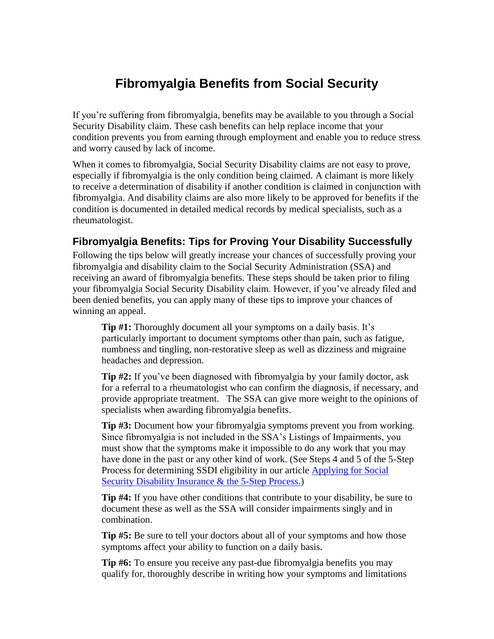## **Fibromyalgia Benefits from Social Security**

If you're suffering from fibromyalgia, benefits may be available to you through a Social Security Disability claim. These cash benefits can help replace income that your condition prevents you from earning through employment and enable you to reduce stress and worry caused by lack of income.

When it comes to fibromyalgia, Social Security Disability claims are not easy to prove, especially if fibromyalgia is the only condition being claimed. A claimant is more likely to receive a determination of disability if another condition is claimed in conjunction with fibromyalgia. And disability claims are also more likely to be approved for benefits if the condition is documented in detailed medical records by medical specialists, such as a rheumatologist.

## **Fibromyalgia Benefits: Tips for Proving Your Disability Successfully**

Following the tips below will greatly increase your chances of successfully proving your fibromyalgia and disability claim to the Social Security Administration (SSA) and receiving an award of fibromyalgia benefits. These steps should be taken prior to filing your fibromyalgia Social Security Disability claim. However, if you've already filed and been denied benefits, you can apply many of these tips to improve your chances of winning an appeal.

**Tip #1:** Thoroughly document all your symptoms on a daily basis. It's particularly important to document symptoms other than pain, such as fatigue, numbness and tingling, non-restorative sleep as well as dizziness and migraine headaches and depression.

**Tip #2:** If you've been diagnosed with fibromyalgia by your family doctor, ask for a referral to a rheumatologist who can confirm the diagnosis, if necessary, and provide appropriate treatment. The SSA can give more weight to the opinions of specialists when awarding fibromyalgia benefits.

**Tip #3:** Document how your fibromyalgia symptoms prevent you from working. Since fibromyalgia is not included in the SSA's Listings of Impairments, you must show that the symptoms make it impossible to do any work that you may have done in the past or any other kind of work. (See Steps 4 and 5 of the 5-Step Process for determining SSDI eligibility in our article [Applying for Social](http://usadisabilitylaw.com/wp-content/uploads/2013/01/Article5-Applying-for-Social-Security-Disability-Jan2013.pdf)  [Security Disability Insurance & the 5-Step Process.\)](http://usadisabilitylaw.com/wp-content/uploads/2013/01/Article5-Applying-for-Social-Security-Disability-Jan2013.pdf)

**Tip #4:** If you have other conditions that contribute to your disability, be sure to document these as well as the SSA will consider impairments singly and in combination.

**Tip #5:** Be sure to tell your doctors about all of your symptoms and how those symptoms affect your ability to function on a daily basis.

**Tip #6:** To ensure you receive any past-due fibromyalgia benefits you may qualify for, thoroughly describe in writing how your symptoms and limitations